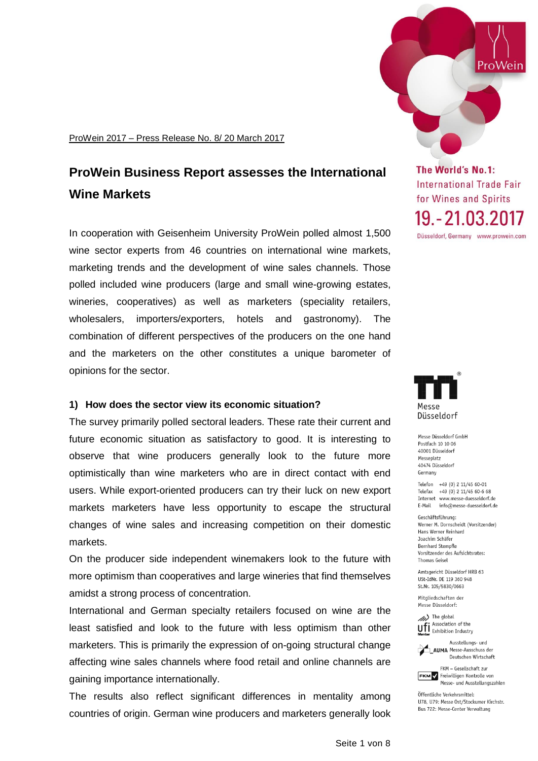ProWein 2017 – Press Release No. 8/ 20 March 2017

# **ProWein Business Report assesses the International Wine Markets**

In cooperation with Geisenheim University ProWein polled almost 1,500 wine sector experts from 46 countries on international wine markets, marketing trends and the development of wine sales channels. Those polled included wine producers (large and small wine-growing estates, wineries, cooperatives) as well as marketers (speciality retailers, wholesalers, importers/exporters, hotels and gastronomy). The combination of different perspectives of the producers on the one hand and the marketers on the other constitutes a unique barometer of opinions for the sector.

### **1) How does the sector view its economic situation?**

The survey primarily polled sectoral leaders. These rate their current and future economic situation as satisfactory to good. It is interesting to observe that wine producers generally look to the future more optimistically than wine marketers who are in direct contact with end users. While export-oriented producers can try their luck on new export markets marketers have less opportunity to escape the structural changes of wine sales and increasing competition on their domestic markets.

On the producer side independent winemakers look to the future with more optimism than cooperatives and large wineries that find themselves amidst a strong process of concentration.

International and German specialty retailers focused on wine are the least satisfied and look to the future with less optimism than other marketers. This is primarily the expression of on-going structural change affecting wine sales channels where food retail and online channels are gaining importance internationally.

The results also reflect significant differences in mentality among countries of origin. German wine producers and marketers generally look



**The World's No.1: International Trade Fair** for Wines and Spirits 19. - 21.03.2017

Düsseldorf, Germany www.prowein.com



Messe Düsseldorf GmbH Postfach 10 10 06 40001 Düsseldorf Messenlatz 40474 Düsseldorf Germany

Telefon +49 (0) 2 11/45 60-01 Telefax +49 (0) 2 11/45 60-6 68 Internet www.messe-duesseldorf.de E-Mail info@messe-duesseldorf.de

Geschäftsführung Werner M. Dornscheidt (Vorsitzender) Hans Werner Reinhard Joachim Schäfer Bernhard Stempfle Vorsitzender des Aufsichtsrates: Thomas Geisel

Amtsgericht Düsseldorf HRB 63 USt-IdNr. DE 119 360 948 St.Nr. 105/5830/0663

Mitgliedschaften der Messe Düsseldorf:

(b) The global Ufi Association of the



Deutschen Wirtschaft FKM - Gesellschaft zur

**FKM** Freiwilligen Kontrolle von Messe- und Ausstellungszahlen

Öffentliche Verkehrsmittel: 1178 1179: Messe Ost/Stockumer Kirchstr Bus 722: Messe-Center Verwaltung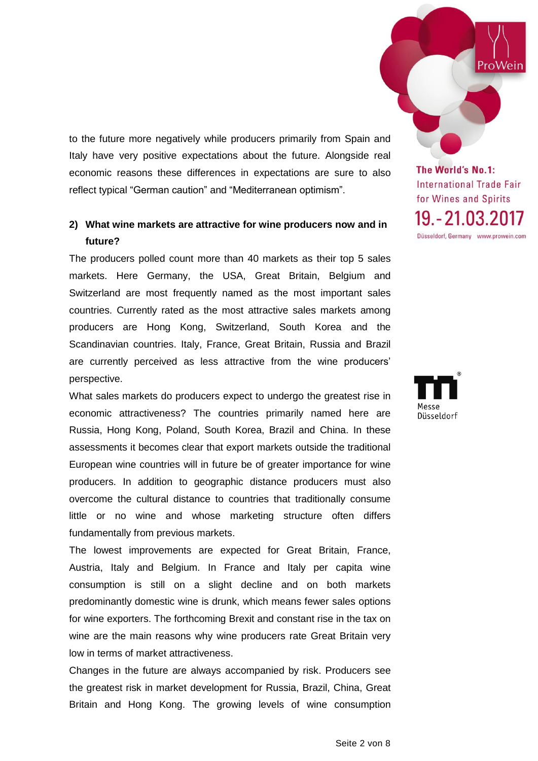to the future more negatively while producers primarily from Spain and Italy have very positive expectations about the future. Alongside real economic reasons these differences in expectations are sure to also reflect typical "German caution" and "Mediterranean optimism".

# **2) What wine markets are attractive for wine producers now and in future?**

The producers polled count more than 40 markets as their top 5 sales markets. Here Germany, the USA, Great Britain, Belgium and Switzerland are most frequently named as the most important sales countries. Currently rated as the most attractive sales markets among producers are Hong Kong, Switzerland, South Korea and the Scandinavian countries. Italy, France, Great Britain, Russia and Brazil are currently perceived as less attractive from the wine producers' perspective.

What sales markets do producers expect to undergo the greatest rise in economic attractiveness? The countries primarily named here are Russia, Hong Kong, Poland, South Korea, Brazil and China. In these assessments it becomes clear that export markets outside the traditional European wine countries will in future be of greater importance for wine producers. In addition to geographic distance producers must also overcome the cultural distance to countries that traditionally consume little or no wine and whose marketing structure often differs fundamentally from previous markets.

The lowest improvements are expected for Great Britain, France, Austria, Italy and Belgium. In France and Italy per capita wine consumption is still on a slight decline and on both markets predominantly domestic wine is drunk, which means fewer sales options for wine exporters. The forthcoming Brexit and constant rise in the tax on wine are the main reasons why wine producers rate Great Britain very low in terms of market attractiveness.

Changes in the future are always accompanied by risk. Producers see the greatest risk in market development for Russia, Brazil, China, Great Britain and Hong Kong. The growing levels of wine consumption

The World's No.1: **International Trade Fair** for Wines and Spirits 19. - 21.03.2017 Düsseldorf, Germany www.prowein.com

ProWein



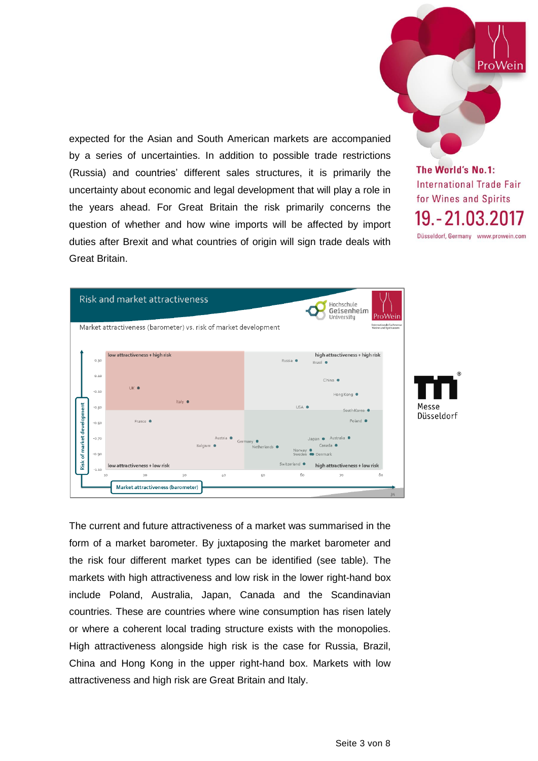expected for the Asian and South American markets are accompanied by a series of uncertainties. In addition to possible trade restrictions (Russia) and countries' different sales structures, it is primarily the uncertainty about economic and legal development that will play a role in the years ahead. For Great Britain the risk primarily concerns the question of whether and how wine imports will be affected by import duties after Brexit and what countries of origin will sign trade deals with Great Britain.

The World's No.1: **International Trade Fair** for Wines and Spirits 19. - 21.03.2017 Düsseldorf, Germany www.prowein.com

ProWein

|                    | <b>Risk and market attractiveness</b>                            |           |                                   |                                                         |                                           | Hochschule<br>Geisenheim<br>University                              | ProWein                                           |
|--------------------|------------------------------------------------------------------|-----------|-----------------------------------|---------------------------------------------------------|-------------------------------------------|---------------------------------------------------------------------|---------------------------------------------------|
|                    | Market attractiveness (barometer) vs. risk of market development |           |                                   |                                                         |                                           |                                                                     | Internationale Fachmesse<br>Weine und Spirituosen |
| 0.30               | low attractiveness + high risk                                   |           |                                   | high attractiveness + high risk<br>Russia ·<br>Brasil · |                                           |                                                                     |                                                   |
| 0.10<br>$-0.10$    | UK .                                                             |           |                                   |                                                         |                                           | $China$ $\bullet$<br>Hong Kong                                      |                                                   |
| $-0.30$            | Italy $\bullet$                                                  |           |                                   | USA .<br>South Korea                                    |                                           |                                                                     |                                                   |
| $-0.50$            | France $\bullet$                                                 |           |                                   |                                                         |                                           | Poland <sup>®</sup>                                                 |                                                   |
| $-0.70$<br>$-0.90$ |                                                                  | Belgium · | Austria <sup>@</sup><br>Germany · | Netherlands ·                                           | Nonvay $\bullet$<br>Sweden <b>Command</b> | Australia <sup>@</sup><br>Japan <sup>•</sup><br>Canada <sup>@</sup> |                                                   |
| $-1.10$            | low attractiveness + low risk                                    |           |                                   |                                                         | Switzerland ·                             | high attractiveness + low risk                                      |                                                   |
|                    | 20<br>10<br>Market attractiveness (barometer)                    | 30        | 40                                | 50                                                      | 60                                        | 70                                                                  | 80<br>34                                          |

The current and future attractiveness of a market was summarised in the form of a market barometer. By juxtaposing the market barometer and the risk four different market types can be identified (see table). The markets with high attractiveness and low risk in the lower right-hand box include Poland, Australia, Japan, Canada and the Scandinavian countries. These are countries where wine consumption has risen lately or where a coherent local trading structure exists with the monopolies. High attractiveness alongside high risk is the case for Russia, Brazil, China and Hong Kong in the upper right-hand box. Markets with low attractiveness and high risk are Great Britain and Italy.

Seite 3 von 8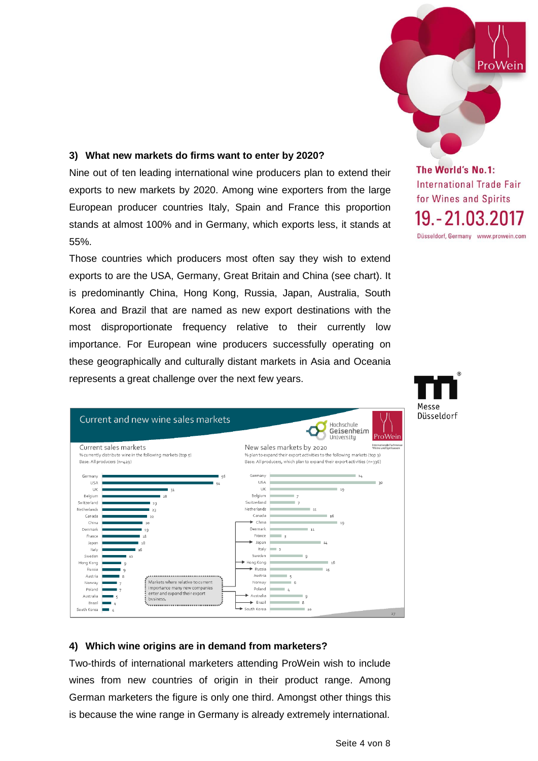

## **3) What new markets do firms want to enter by 2020?**

Nine out of ten leading international wine producers plan to extend their exports to new markets by 2020. Among wine exporters from the large European producer countries Italy, Spain and France this proportion stands at almost 100% and in Germany, which exports less, it stands at 55%.

Those countries which producers most often say they wish to extend exports to are the USA, Germany, Great Britain and China (see chart). It is predominantly China, Hong Kong, Russia, Japan, Australia, South Korea and Brazil that are named as new export destinations with the most disproportionate frequency relative to their currently low importance. For European wine producers successfully operating on these geographically and culturally distant markets in Asia and Oceania represents a great challenge over the next few years.



**International Trade Fair** for Wines and Spirits 19. - 21.03.2017 Düsseldorf, Germany www.prowein.com

Messe Düsseldorf

# **4) Which wine origins are in demand from marketers?**

Two-thirds of international marketers attending ProWein wish to include wines from new countries of origin in their product range. Among German marketers the figure is only one third. Amongst other things this is because the wine range in Germany is already extremely international.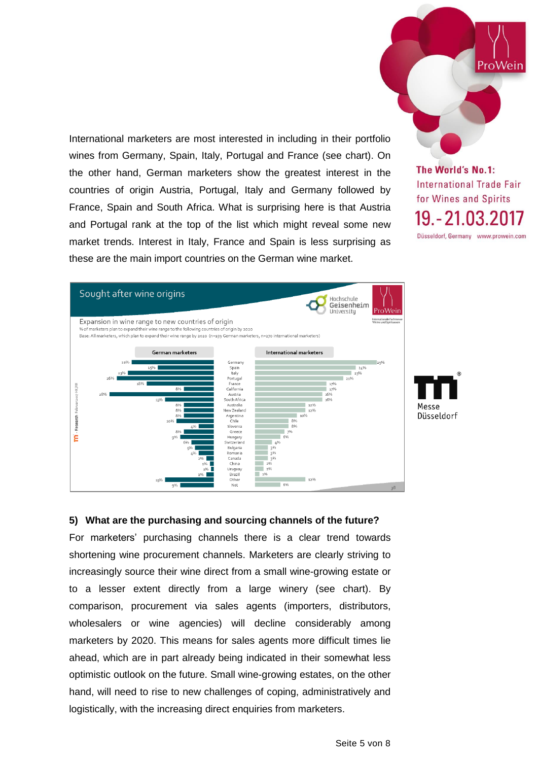International marketers are most interested in including in their portfolio wines from Germany, Spain, Italy, Portugal and France (see chart). On the other hand, German marketers show the greatest interest in the countries of origin Austria, Portugal, Italy and Germany followed by France, Spain and South Africa. What is surprising here is that Austria and Portugal rank at the top of the list which might reveal some new market trends. Interest in Italy, France and Spain is less surprising as these are the main import countries on the German wine market.

**The World's No.1: International Trade Fair** for Wines and Spirits 19. - 21.03.2017 Düsseldorf, Germany www.prowein.com

ProWein





#### **5) What are the purchasing and sourcing channels of the future?**

For marketers' purchasing channels there is a clear trend towards shortening wine procurement channels. Marketers are clearly striving to increasingly source their wine direct from a small wine-growing estate or to a lesser extent directly from a large winery (see chart). By comparison, procurement via sales agents (importers, distributors, wholesalers or wine agencies) will decline considerably among marketers by 2020. This means for sales agents more difficult times lie ahead, which are in part already being indicated in their somewhat less optimistic outlook on the future. Small wine-growing estates, on the other hand, will need to rise to new challenges of coping, administratively and logistically, with the increasing direct enquiries from marketers.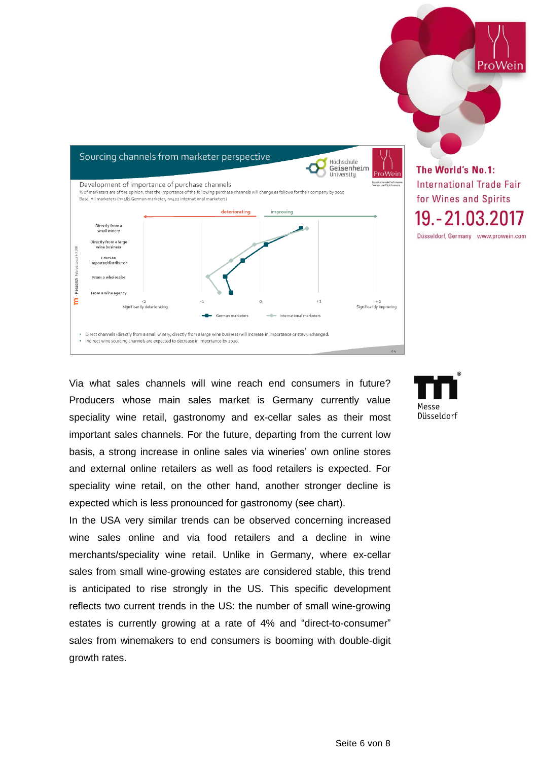

Via what sales channels will wine reach end consumers in future? Producers whose main sales market is Germany currently value speciality wine retail, gastronomy and ex-cellar sales as their most important sales channels. For the future, departing from the current low basis, a strong increase in online sales via wineries' own online stores and external online retailers as well as food retailers is expected. For speciality wine retail, on the other hand, another stronger decline is expected which is less pronounced for gastronomy (see chart).

In the USA very similar trends can be observed concerning increased wine sales online and via food retailers and a decline in wine merchants/speciality wine retail. Unlike in Germany, where ex-cellar sales from small wine-growing estates are considered stable, this trend is anticipated to rise strongly in the US. This specific development reflects two current trends in the US: the number of small wine-growing estates is currently growing at a rate of 4% and "direct-to-consumer" sales from winemakers to end consumers is booming with double-digit growth rates.



ProWein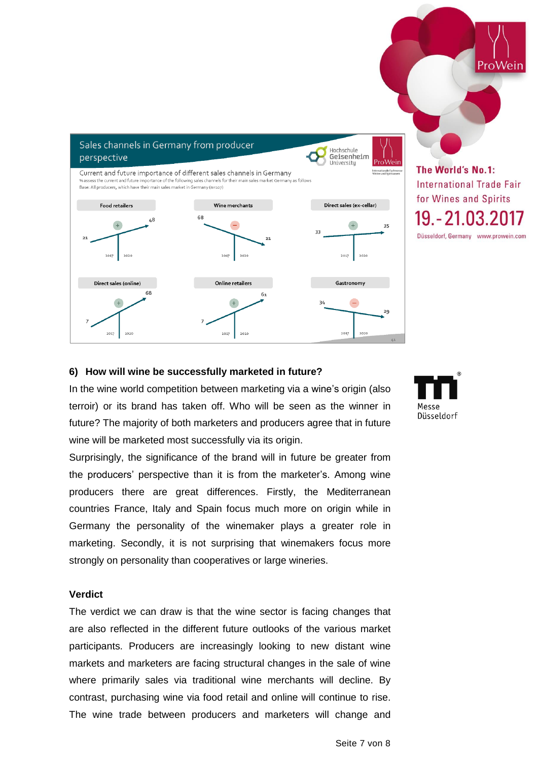

#### **6) How will wine be successfully marketed in future?**

In the wine world competition between marketing via a wine's origin (also terroir) or its brand has taken off. Who will be seen as the winner in future? The majority of both marketers and producers agree that in future wine will be marketed most successfully via its origin.

Surprisingly, the significance of the brand will in future be greater from the producers' perspective than it is from the marketer's. Among wine producers there are great differences. Firstly, the Mediterranean countries France, Italy and Spain focus much more on origin while in Germany the personality of the winemaker plays a greater role in marketing. Secondly, it is not surprising that winemakers focus more strongly on personality than cooperatives or large wineries.

#### **Verdict**

The verdict we can draw is that the wine sector is facing changes that are also reflected in the different future outlooks of the various market participants. Producers are increasingly looking to new distant wine markets and marketers are facing structural changes in the sale of wine where primarily sales via traditional wine merchants will decline. By contrast, purchasing wine via food retail and online will continue to rise. The wine trade between producers and marketers will change and